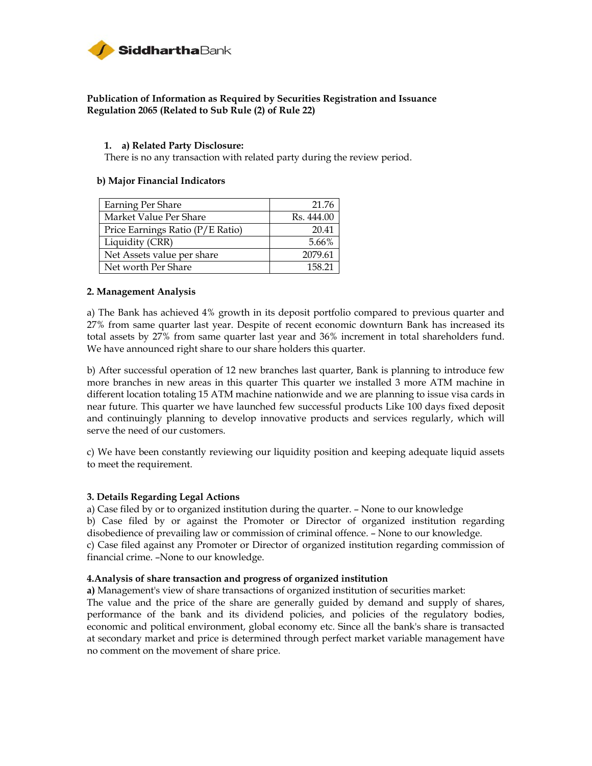

## **Publication of Information as Required by Securities Registration and Issuance Regulation 2065 (Related to Sub Rule (2) of Rule 22)**

### **1. a) Related Party Disclosure:**

There is no any transaction with related party during the review period.

### **b) Major Financial Indicators**

| Earning Per Share                | 21.76      |
|----------------------------------|------------|
| Market Value Per Share           | Rs. 444.00 |
| Price Earnings Ratio (P/E Ratio) | 20.41      |
| Liquidity (CRR)                  | 5.66%      |
| Net Assets value per share       | 2079.61    |
| Net worth Per Share              | 158 21     |

### **2. Management Analysis**

a) The Bank has achieved 4% growth in its deposit portfolio compared to previous quarter and 27% from same quarter last year. Despite of recent economic downturn Bank has increased its total assets by 27% from same quarter last year and 36% increment in total shareholders fund. We have announced right share to our share holders this quarter.

b) After successful operation of 12 new branches last quarter, Bank is planning to introduce few more branches in new areas in this quarter This quarter we installed 3 more ATM machine in different location totaling 15 ATM machine nationwide and we are planning to issue visa cards in near future. This quarter we have launched few successful products Like 100 days fixed deposit and continuingly planning to develop innovative products and services regularly, which will serve the need of our customers.

c) We have been constantly reviewing our liquidity position and keeping adequate liquid assets to meet the requirement.

### **3. Details Regarding Legal Actions**

a) Case filed by or to organized institution during the quarter. – None to our knowledge b) Case filed by or against the Promoter or Director of organized institution regarding disobedience of prevailing law or commission of criminal offence. – None to our knowledge. c) Case filed against any Promoter or Director of organized institution regarding commission of financial crime. –None to our knowledge.

#### **4.Analysis of share transaction and progress of organized institution**

**a)** Management's view of share transactions of organized institution of securities market:

The value and the price of the share are generally guided by demand and supply of shares, performance of the bank and its dividend policies, and policies of the regulatory bodies, economic and political environment, global economy etc. Since all the bank's share is transacted at secondary market and price is determined through perfect market variable management have no comment on the movement of share price.